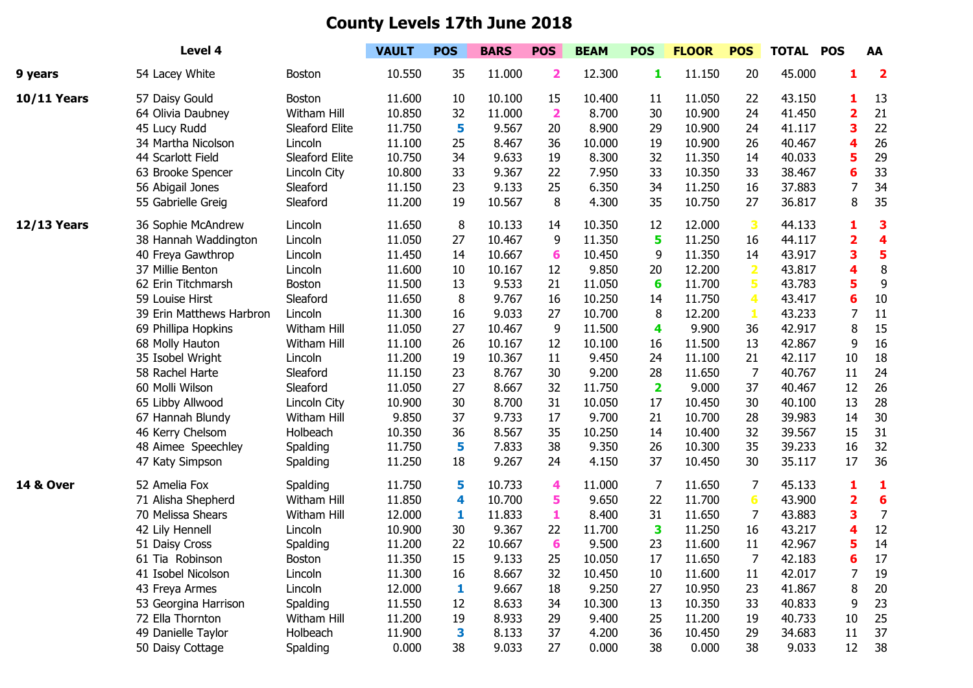## **County Levels 17th June 2018**

| Level 4              |                          |                | <b>VAULT</b> | <b>POS</b> | <b>BARS</b> | <b>POS</b>              | <b>BEAM</b> | <b>POS</b>              | <b>FLOOR</b> | <b>POS</b>              | <b>TOTAL POS</b> |    | AA                      |
|----------------------|--------------------------|----------------|--------------|------------|-------------|-------------------------|-------------|-------------------------|--------------|-------------------------|------------------|----|-------------------------|
| 9 years              | 54 Lacey White           | <b>Boston</b>  | 10.550       | 35         | 11.000      | $\overline{\mathbf{2}}$ | 12.300      | 1                       | 11.150       | 20                      | 45.000           | 1  | $\overline{\mathbf{2}}$ |
| <b>10/11 Years</b>   | 57 Daisy Gould           | <b>Boston</b>  | 11.600       | 10         | 10.100      | 15                      | 10.400      | 11                      | 11.050       | 22                      | 43.150           | 1  | 13                      |
|                      | 64 Olivia Daubney        | Witham Hill    | 10.850       | 32         | 11.000      | $\overline{\mathbf{2}}$ | 8.700       | 30                      | 10.900       | 24                      | 41.450           | 2  | 21                      |
|                      | 45 Lucy Rudd             | Sleaford Elite | 11.750       | 5          | 9.567       | 20                      | 8.900       | 29                      | 10.900       | 24                      | 41.117           | 3  | 22                      |
|                      | 34 Martha Nicolson       | Lincoln        | 11.100       | 25         | 8.467       | 36                      | 10.000      | 19                      | 10.900       | 26                      | 40.467           | Δ  | 26                      |
|                      | 44 Scarlott Field        | Sleaford Elite | 10.750       | 34         | 9.633       | 19                      | 8.300       | 32                      | 11.350       | 14                      | 40.033           | 5  | 29                      |
|                      | 63 Brooke Spencer        | Lincoln City   | 10.800       | 33         | 9.367       | 22                      | 7.950       | 33                      | 10.350       | 33                      | 38.467           | 6  | 33                      |
|                      | 56 Abigail Jones         | Sleaford       | 11.150       | 23         | 9.133       | 25                      | 6.350       | 34                      | 11.250       | 16                      | 37.883           | 7  | 34                      |
|                      | 55 Gabrielle Greig       | Sleaford       | 11.200       | 19         | 10.567      | 8                       | 4.300       | 35                      | 10.750       | 27                      | 36.817           | 8  | 35                      |
| <b>12/13 Years</b>   | 36 Sophie McAndrew       | Lincoln        | 11.650       | 8          | 10.133      | 14                      | 10.350      | 12                      | 12.000       | 3                       | 44.133           | 1  | 3                       |
|                      | 38 Hannah Waddington     | Lincoln        | 11.050       | 27         | 10.467      | 9                       | 11.350      | 5                       | 11.250       | 16                      | 44.117           | 2  | 4                       |
|                      | 40 Freya Gawthrop        | Lincoln        | 11.450       | 14         | 10.667      | 6                       | 10.450      | 9                       | 11.350       | 14                      | 43.917           | 3  | 5                       |
|                      | 37 Millie Benton         | Lincoln        | 11.600       | 10         | 10.167      | 12                      | 9.850       | 20                      | 12.200       | $\overline{\mathbf{2}}$ | 43.817           |    | 8                       |
|                      | 62 Erin Titchmarsh       | <b>Boston</b>  | 11.500       | 13         | 9.533       | 21                      | 11.050      | 6                       | 11.700       | 5                       | 43.783           | 5  | 9                       |
|                      | 59 Louise Hirst          | Sleaford       | 11.650       | 8          | 9.767       | 16                      | 10.250      | 14                      | 11.750       | 4                       | 43.417           | 6  | 10                      |
|                      | 39 Erin Matthews Harbron | Lincoln        | 11.300       | 16         | 9.033       | 27                      | 10.700      | 8                       | 12.200       | 1                       | 43.233           | 7  | 11                      |
|                      | 69 Phillipa Hopkins      | Witham Hill    | 11.050       | 27         | 10.467      | 9                       | 11.500      | 4                       | 9.900        | 36                      | 42.917           | 8  | 15                      |
|                      | 68 Molly Hauton          | Witham Hill    | 11.100       | 26         | 10.167      | 12                      | 10.100      | 16                      | 11.500       | 13                      | 42.867           | 9  | 16                      |
|                      | 35 Isobel Wright         | Lincoln        | 11.200       | 19         | 10.367      | 11                      | 9.450       | 24                      | 11.100       | 21                      | 42.117           | 10 | 18                      |
|                      | 58 Rachel Harte          | Sleaford       | 11.150       | 23         | 8.767       | 30                      | 9.200       | 28                      | 11.650       | 7                       | 40.767           | 11 | 24                      |
|                      | 60 Molli Wilson          | Sleaford       | 11.050       | 27         | 8.667       | 32                      | 11.750      | $\overline{\mathbf{2}}$ | 9.000        | 37                      | 40.467           | 12 | 26                      |
|                      | 65 Libby Allwood         | Lincoln City   | 10.900       | 30         | 8.700       | 31                      | 10.050      | 17                      | 10.450       | 30                      | 40.100           | 13 | 28                      |
|                      | 67 Hannah Blundy         | Witham Hill    | 9.850        | 37         | 9.733       | 17                      | 9.700       | 21                      | 10.700       | 28                      | 39.983           | 14 | 30                      |
|                      | 46 Kerry Chelsom         | Holbeach       | 10.350       | 36         | 8.567       | 35                      | 10.250      | 14                      | 10.400       | 32                      | 39.567           | 15 | 31                      |
|                      | 48 Aimee Speechley       | Spalding       | 11.750       | 5          | 7.833       | 38                      | 9.350       | 26                      | 10.300       | 35                      | 39.233           | 16 | 32                      |
|                      | 47 Katy Simpson          | Spalding       | 11.250       | 18         | 9.267       | 24                      | 4.150       | 37                      | 10.450       | 30                      | 35.117           | 17 | 36                      |
| <b>14 &amp; Over</b> | 52 Amelia Fox            | Spalding       | 11.750       | 5          | 10.733      | 4                       | 11.000      | 7                       | 11.650       | 7                       | 45.133           | 1  | 1                       |
|                      | 71 Alisha Shepherd       | Witham Hill    | 11.850       | 4          | 10.700      | 5                       | 9.650       | 22                      | 11.700       | 6                       | 43.900           | 2  | $6\phantom{1}6$         |
|                      | 70 Melissa Shears        | Witham Hill    | 12.000       | 1          | 11.833      | 1                       | 8.400       | 31                      | 11.650       | 7                       | 43.883           | 3  | $\overline{7}$          |
|                      | 42 Lily Hennell          | Lincoln        | 10.900       | 30         | 9.367       | 22                      | 11.700      | 3                       | 11.250       | 16                      | 43.217           | 4  | 12                      |
|                      | 51 Daisy Cross           | Spalding       | 11.200       | 22         | 10.667      | 6                       | 9.500       | 23                      | 11.600       | 11                      | 42.967           | 5  | 14                      |
|                      | 61 Tia Robinson          | Boston         | 11.350       | 15         | 9.133       | 25                      | 10.050      | 17                      | 11.650       | 7                       | 42.183           | 6  | 17                      |
|                      | 41 Isobel Nicolson       | Lincoln        | 11.300       | 16         | 8.667       | 32                      | 10.450      | 10                      | 11.600       | 11                      | 42.017           | 7  | 19                      |
|                      | 43 Freya Armes           | Lincoln        | 12.000       | 1          | 9.667       | 18                      | 9.250       | 27                      | 10.950       | 23                      | 41.867           | 8  | 20                      |
|                      | 53 Georgina Harrison     | Spalding       | 11.550       | 12         | 8.633       | 34                      | 10.300      | 13                      | 10.350       | 33                      | 40.833           | 9  | 23                      |
|                      | 72 Ella Thornton         | Witham Hill    | 11.200       | 19         | 8.933       | 29                      | 9.400       | 25                      | 11.200       | 19                      | 40.733           | 10 | 25                      |
|                      | 49 Danielle Taylor       | Holbeach       | 11.900       | 3          | 8.133       | 37                      | 4.200       | 36                      | 10.450       | 29                      | 34.683           | 11 | 37                      |
|                      | 50 Daisy Cottage         | Spalding       | 0.000        | 38         | 9.033       | 27                      | 0.000       | 38                      | 0.000        | 38                      | 9.033            | 12 | 38                      |